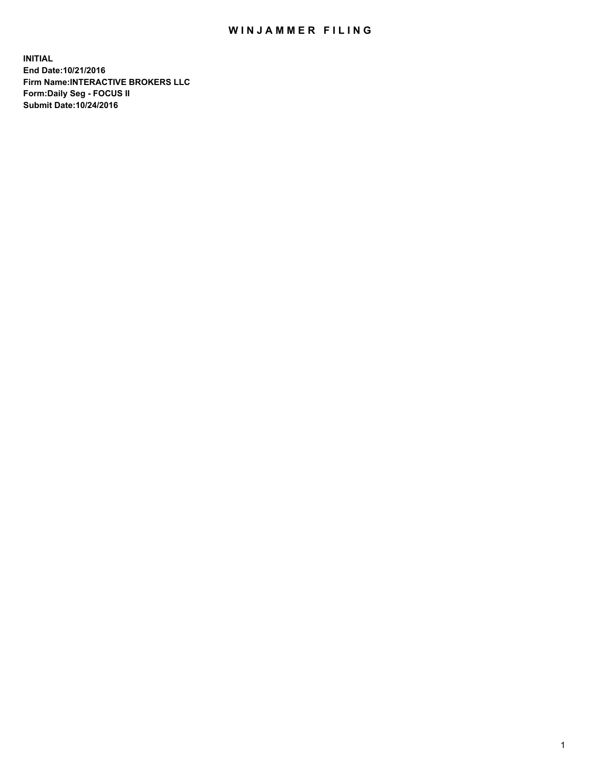## WIN JAMMER FILING

**INITIAL End Date:10/21/2016 Firm Name:INTERACTIVE BROKERS LLC Form:Daily Seg - FOCUS II Submit Date:10/24/2016**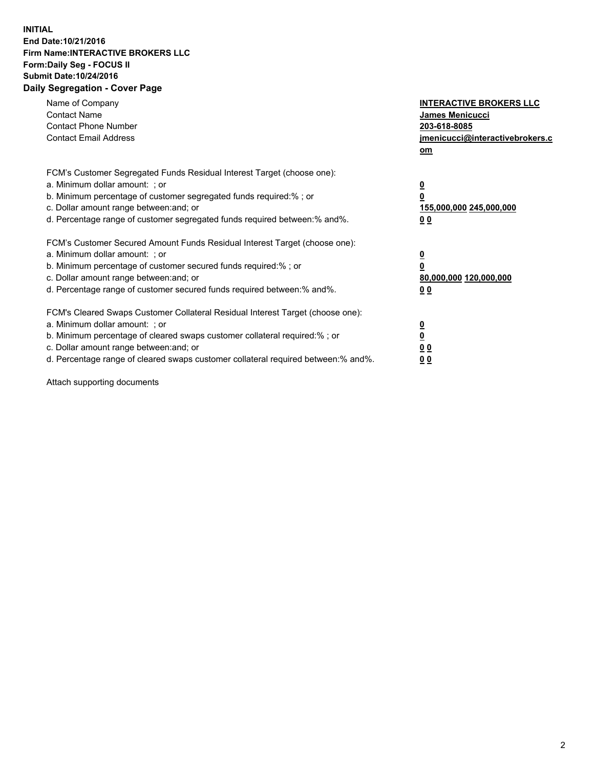## **INITIAL End Date:10/21/2016 Firm Name:INTERACTIVE BROKERS LLC Form:Daily Seg - FOCUS II Submit Date:10/24/2016 Daily Segregation - Cover Page**

| Name of Company<br><b>Contact Name</b><br><b>Contact Phone Number</b><br><b>Contact Email Address</b>                                                                                                                                                                                                                          | <b>INTERACTIVE BROKERS LLC</b><br>James Menicucci<br>203-618-8085<br>jmenicucci@interactivebrokers.c<br>om |
|--------------------------------------------------------------------------------------------------------------------------------------------------------------------------------------------------------------------------------------------------------------------------------------------------------------------------------|------------------------------------------------------------------------------------------------------------|
| FCM's Customer Segregated Funds Residual Interest Target (choose one):<br>a. Minimum dollar amount: ; or<br>b. Minimum percentage of customer segregated funds required:%; or<br>c. Dollar amount range between: and; or<br>d. Percentage range of customer segregated funds required between:% and%.                          | $\overline{\mathbf{0}}$<br>0<br>155,000,000 245,000,000<br>0 <sub>0</sub>                                  |
| FCM's Customer Secured Amount Funds Residual Interest Target (choose one):<br>a. Minimum dollar amount: ; or<br>b. Minimum percentage of customer secured funds required:%; or<br>c. Dollar amount range between: and; or<br>d. Percentage range of customer secured funds required between:% and%.                            | $\overline{\mathbf{0}}$<br>$\overline{\mathbf{0}}$<br>80,000,000 120,000,000<br>00                         |
| FCM's Cleared Swaps Customer Collateral Residual Interest Target (choose one):<br>a. Minimum dollar amount: ; or<br>b. Minimum percentage of cleared swaps customer collateral required:% ; or<br>c. Dollar amount range between: and; or<br>d. Percentage range of cleared swaps customer collateral required between:% and%. | $\overline{\mathbf{0}}$<br>$\overline{\mathbf{0}}$<br>0 <sub>0</sub><br><u>00</u>                          |

Attach supporting documents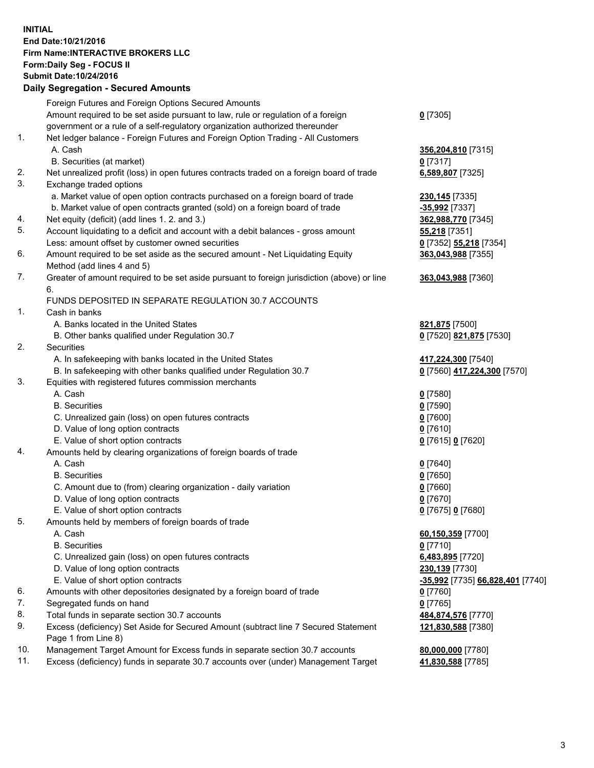## **INITIAL End Date:10/21/2016 Firm Name:INTERACTIVE BROKERS LLC Form:Daily Seg - FOCUS II Submit Date:10/24/2016 Daily Segregation - Secured Amounts**

|     | Dany Ocgregation - Oceanea Amounts                                                                         |                                  |
|-----|------------------------------------------------------------------------------------------------------------|----------------------------------|
|     | Foreign Futures and Foreign Options Secured Amounts                                                        |                                  |
|     | Amount required to be set aside pursuant to law, rule or regulation of a foreign                           | $0$ [7305]                       |
|     | government or a rule of a self-regulatory organization authorized thereunder                               |                                  |
| 1.  | Net ledger balance - Foreign Futures and Foreign Option Trading - All Customers                            |                                  |
|     | A. Cash                                                                                                    | 356,204,810 [7315]               |
|     | B. Securities (at market)                                                                                  | 0 [7317]                         |
| 2.  | Net unrealized profit (loss) in open futures contracts traded on a foreign board of trade                  | 6,589,807 [7325]                 |
| 3.  | Exchange traded options                                                                                    |                                  |
|     | a. Market value of open option contracts purchased on a foreign board of trade                             | 230, 145 [7335]                  |
|     | b. Market value of open contracts granted (sold) on a foreign board of trade                               | -35,992 [7337]                   |
| 4.  | Net equity (deficit) (add lines 1.2. and 3.)                                                               | 362,988,770 [7345]               |
| 5.  | Account liquidating to a deficit and account with a debit balances - gross amount                          | <b>55,218</b> [7351]             |
|     | Less: amount offset by customer owned securities                                                           | 0 [7352] 55,218 [7354]           |
| 6.  | Amount required to be set aside as the secured amount - Net Liquidating Equity                             | 363,043,988 [7355]               |
|     | Method (add lines 4 and 5)                                                                                 |                                  |
| 7.  | Greater of amount required to be set aside pursuant to foreign jurisdiction (above) or line                | 363,043,988 [7360]               |
|     | 6.                                                                                                         |                                  |
|     | FUNDS DEPOSITED IN SEPARATE REGULATION 30.7 ACCOUNTS                                                       |                                  |
| 1.  | Cash in banks                                                                                              |                                  |
|     | A. Banks located in the United States                                                                      | 821,875 [7500]                   |
|     | B. Other banks qualified under Regulation 30.7                                                             | 0 [7520] 821,875 [7530]          |
| 2.  | Securities                                                                                                 |                                  |
|     | A. In safekeeping with banks located in the United States                                                  | 417,224,300 [7540]               |
|     | B. In safekeeping with other banks qualified under Regulation 30.7                                         | 0 [7560] 417,224,300 [7570]      |
| 3.  | Equities with registered futures commission merchants                                                      |                                  |
|     | A. Cash                                                                                                    | $0$ [7580]                       |
|     | <b>B.</b> Securities                                                                                       | $0$ [7590]                       |
|     | C. Unrealized gain (loss) on open futures contracts                                                        | $0$ [7600]                       |
|     | D. Value of long option contracts                                                                          | $0$ [7610]                       |
|     | E. Value of short option contracts                                                                         | 0 [7615] 0 [7620]                |
| 4.  | Amounts held by clearing organizations of foreign boards of trade                                          |                                  |
|     | A. Cash                                                                                                    | $0$ [7640]                       |
|     | <b>B.</b> Securities                                                                                       | $0$ [7650]                       |
|     | C. Amount due to (from) clearing organization - daily variation                                            | $0$ [7660]                       |
|     | D. Value of long option contracts                                                                          | $0$ [7670]                       |
|     | E. Value of short option contracts                                                                         | 0 [7675] 0 [7680]                |
| 5.  | Amounts held by members of foreign boards of trade                                                         |                                  |
|     | A. Cash                                                                                                    | 60,150,359 [7700]                |
|     | <b>B.</b> Securities                                                                                       | $0$ [7710]                       |
|     | C. Unrealized gain (loss) on open futures contracts                                                        | 6,483,895 [7720]                 |
|     | D. Value of long option contracts                                                                          | 230,139 [7730]                   |
|     | E. Value of short option contracts                                                                         | -35,992 [7735] 66,828,401 [7740] |
| 6.  | Amounts with other depositories designated by a foreign board of trade                                     | 0 [7760]                         |
| 7.  | Segregated funds on hand                                                                                   | $0$ [7765]                       |
| 8.  | Total funds in separate section 30.7 accounts                                                              | 484,874,576 [7770]               |
| 9.  | Excess (deficiency) Set Aside for Secured Amount (subtract line 7 Secured Statement<br>Page 1 from Line 8) | 121,830,588 [7380]               |
| 10. | Management Target Amount for Excess funds in separate section 30.7 accounts                                | 80,000,000 [7780]                |
| 11. | Excess (deficiency) funds in separate 30.7 accounts over (under) Management Target                         | 41,830,588 [7785]                |
|     |                                                                                                            |                                  |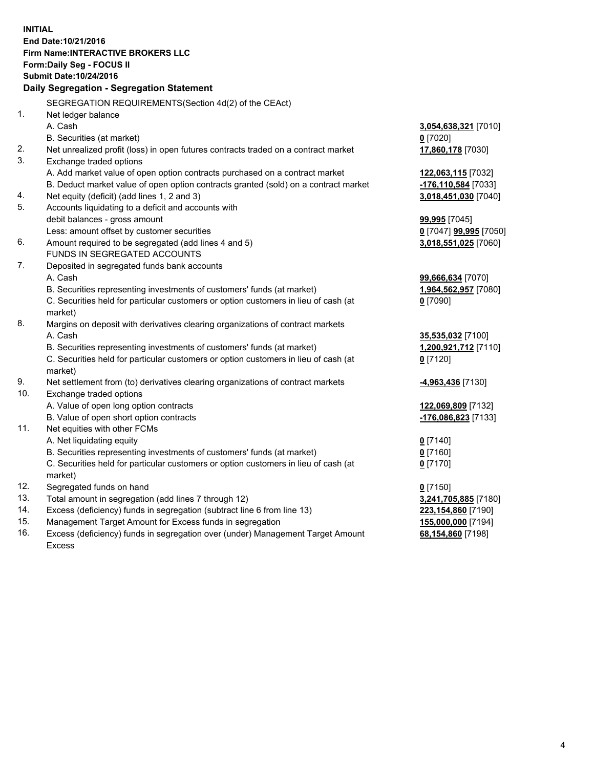**INITIAL End Date:10/21/2016 Firm Name:INTERACTIVE BROKERS LLC Form:Daily Seg - FOCUS II Submit Date:10/24/2016 Daily Segregation - Segregation Statement** SEGREGATION REQUIREMENTS(Section 4d(2) of the CEAct) 1. Net ledger balance A. Cash **3,054,638,321** [7010] B. Securities (at market) **0** [7020] 2. Net unrealized profit (loss) in open futures contracts traded on a contract market **17,860,178** [7030] 3. Exchange traded options A. Add market value of open option contracts purchased on a contract market **122,063,115** [7032] B. Deduct market value of open option contracts granted (sold) on a contract market **-176,110,584** [7033] 4. Net equity (deficit) (add lines 1, 2 and 3) **3,018,451,030** [7040] 5. Accounts liquidating to a deficit and accounts with debit balances - gross amount **99,995** [7045] Less: amount offset by customer securities **0** [7047] **99,995** [7050] 6. Amount required to be segregated (add lines 4 and 5) **3,018,551,025** [7060] FUNDS IN SEGREGATED ACCOUNTS 7. Deposited in segregated funds bank accounts A. Cash **99,666,634** [7070] B. Securities representing investments of customers' funds (at market) **1,964,562,957** [7080] C. Securities held for particular customers or option customers in lieu of cash (at market) **0** [7090] 8. Margins on deposit with derivatives clearing organizations of contract markets A. Cash **35,535,032** [7100] B. Securities representing investments of customers' funds (at market) **1,200,921,712** [7110] C. Securities held for particular customers or option customers in lieu of cash (at market) **0** [7120] 9. Net settlement from (to) derivatives clearing organizations of contract markets **-4,963,436** [7130] 10. Exchange traded options A. Value of open long option contracts **122,069,809** [7132] B. Value of open short option contracts **-176,086,823** [7133] 11. Net equities with other FCMs A. Net liquidating equity **0** [7140] B. Securities representing investments of customers' funds (at market) **0** [7160] C. Securities held for particular customers or option customers in lieu of cash (at market) **0** [7170] 12. Segregated funds on hand **0** [7150] 13. Total amount in segregation (add lines 7 through 12) **3,241,705,885** [7180] 14. Excess (deficiency) funds in segregation (subtract line 6 from line 13) **223,154,860** [7190] 15. Management Target Amount for Excess funds in segregation **155,000,000** [7194]

16. Excess (deficiency) funds in segregation over (under) Management Target Amount Excess

**68,154,860** [7198]